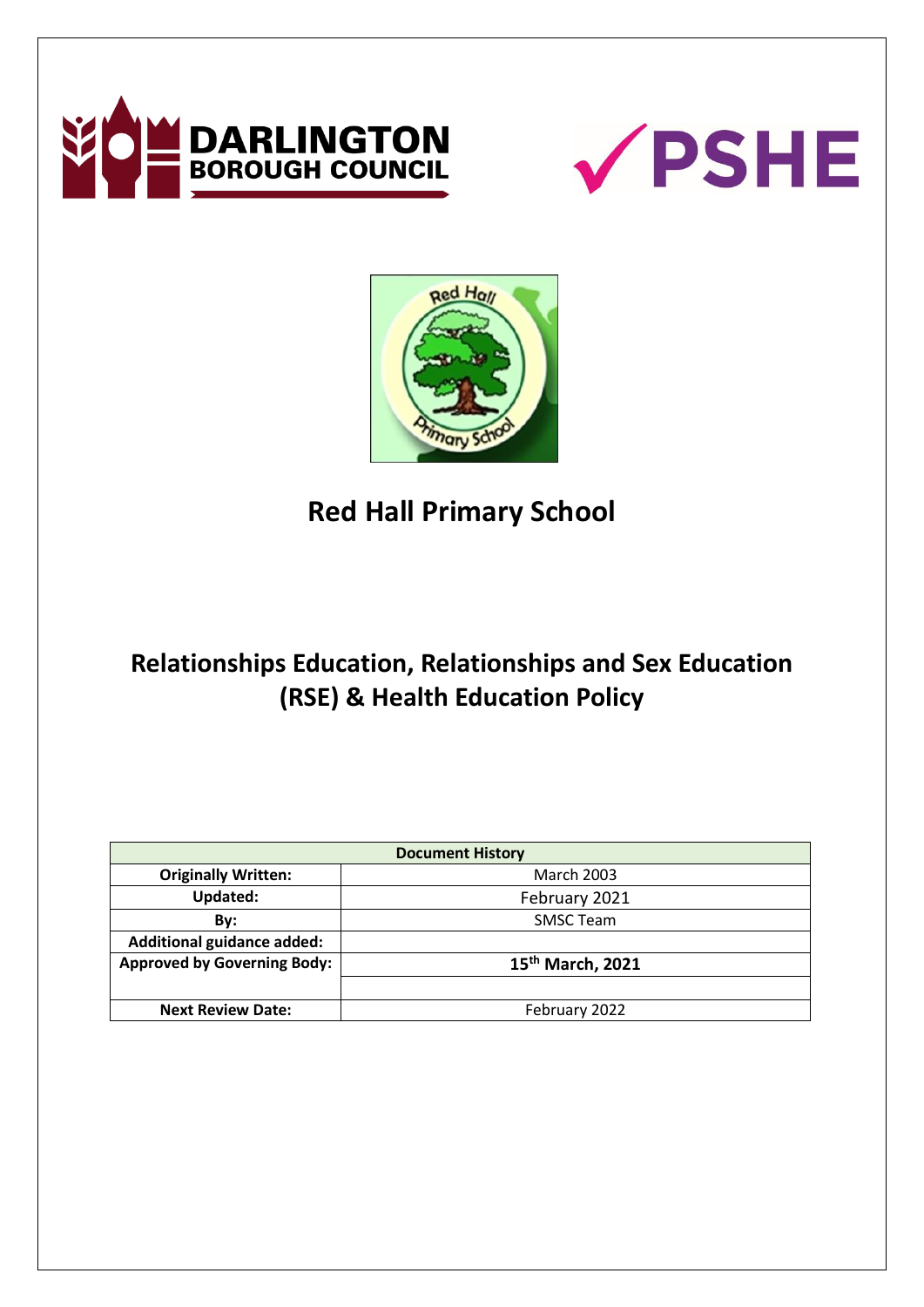





**Red Hall Primary School**

# **Relationships Education, Relationships and Sex Education (RSE) & Health Education Policy**

| <b>Document History</b>            |                              |
|------------------------------------|------------------------------|
| <b>Originally Written:</b>         | <b>March 2003</b>            |
| <b>Updated:</b>                    | February 2021                |
| By:                                | <b>SMSC Team</b>             |
| <b>Additional guidance added:</b>  |                              |
| <b>Approved by Governing Body:</b> | 15 <sup>th</sup> March, 2021 |
|                                    |                              |
| <b>Next Review Date:</b>           | February 2022                |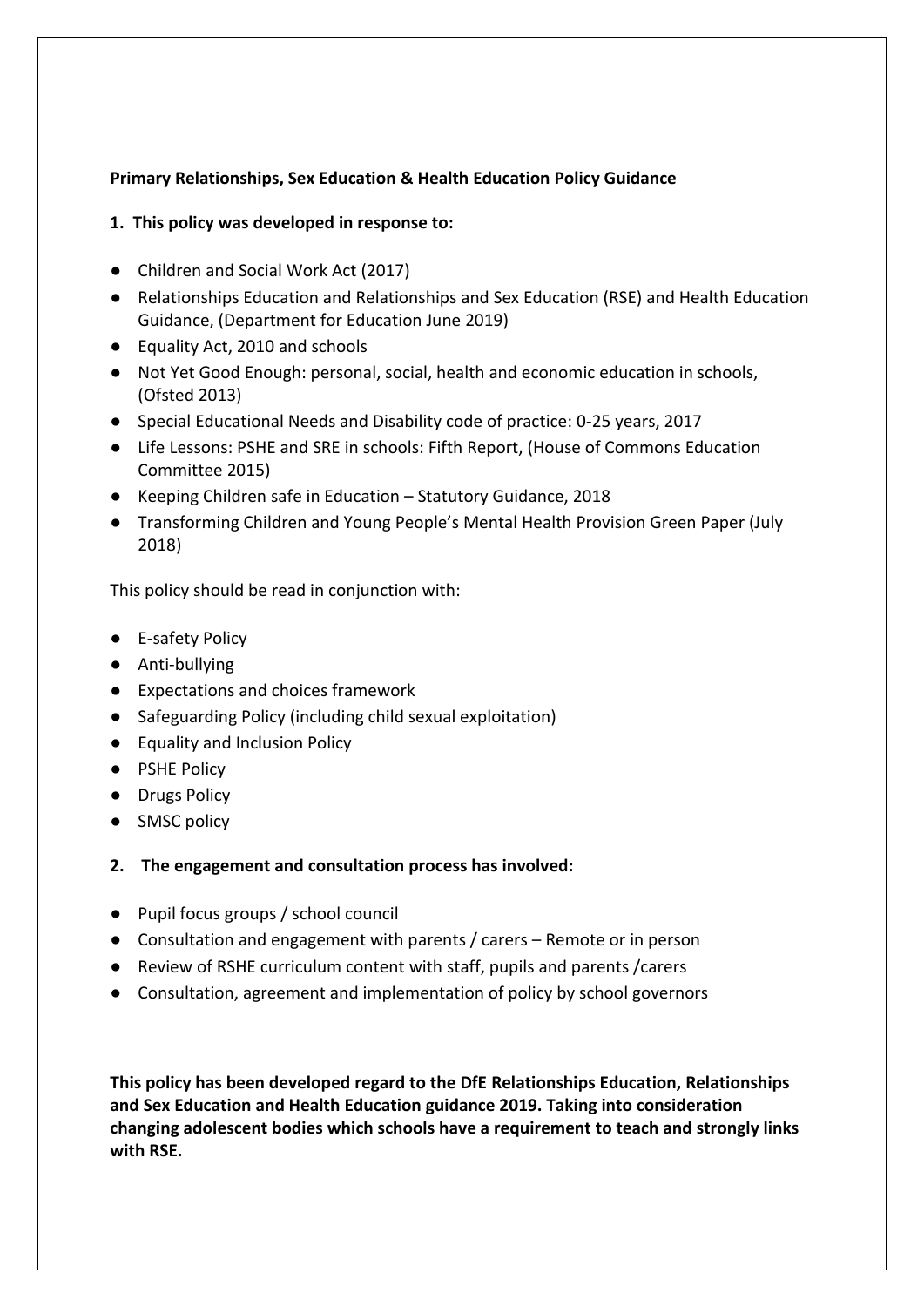# **Primary Relationships, Sex Education & Health Education Policy Guidance**

## **1. This policy was developed in response to:**

- Children and Social Work Act (2017)
- Relationships Education and Relationships and Sex Education (RSE) and Health Education Guidance, (Department for Education June 2019)
- Equality Act, 2010 and schools
- Not Yet Good Enough: personal, social, health and economic education in schools, (Ofsted 2013)
- Special Educational Needs and Disability code of practice: 0-25 years, 2017
- Life Lessons: PSHE and SRE in schools: Fifth Report, (House of Commons Education Committee 2015)
- Keeping Children safe in Education Statutory Guidance, 2018
- Transforming Children and Young People's Mental Health Provision Green Paper (July 2018)

This policy should be read in conjunction with:

- E-safety Policy
- Anti-bullying
- Expectations and choices framework
- Safeguarding Policy (including child sexual exploitation)
- Equality and Inclusion Policy
- PSHE Policy
- Drugs Policy
- SMSC policy
- **2. The engagement and consultation process has involved:**
- Pupil focus groups / school council
- Consultation and engagement with parents / carers Remote or in person
- Review of RSHE curriculum content with staff, pupils and parents /carers
- Consultation, agreement and implementation of policy by school governors

**This policy has been developed regard to the DfE Relationships Education, Relationships and Sex Education and Health Education guidance 2019. Taking into consideration changing adolescent bodies which schools have a requirement to teach and strongly links with RSE.**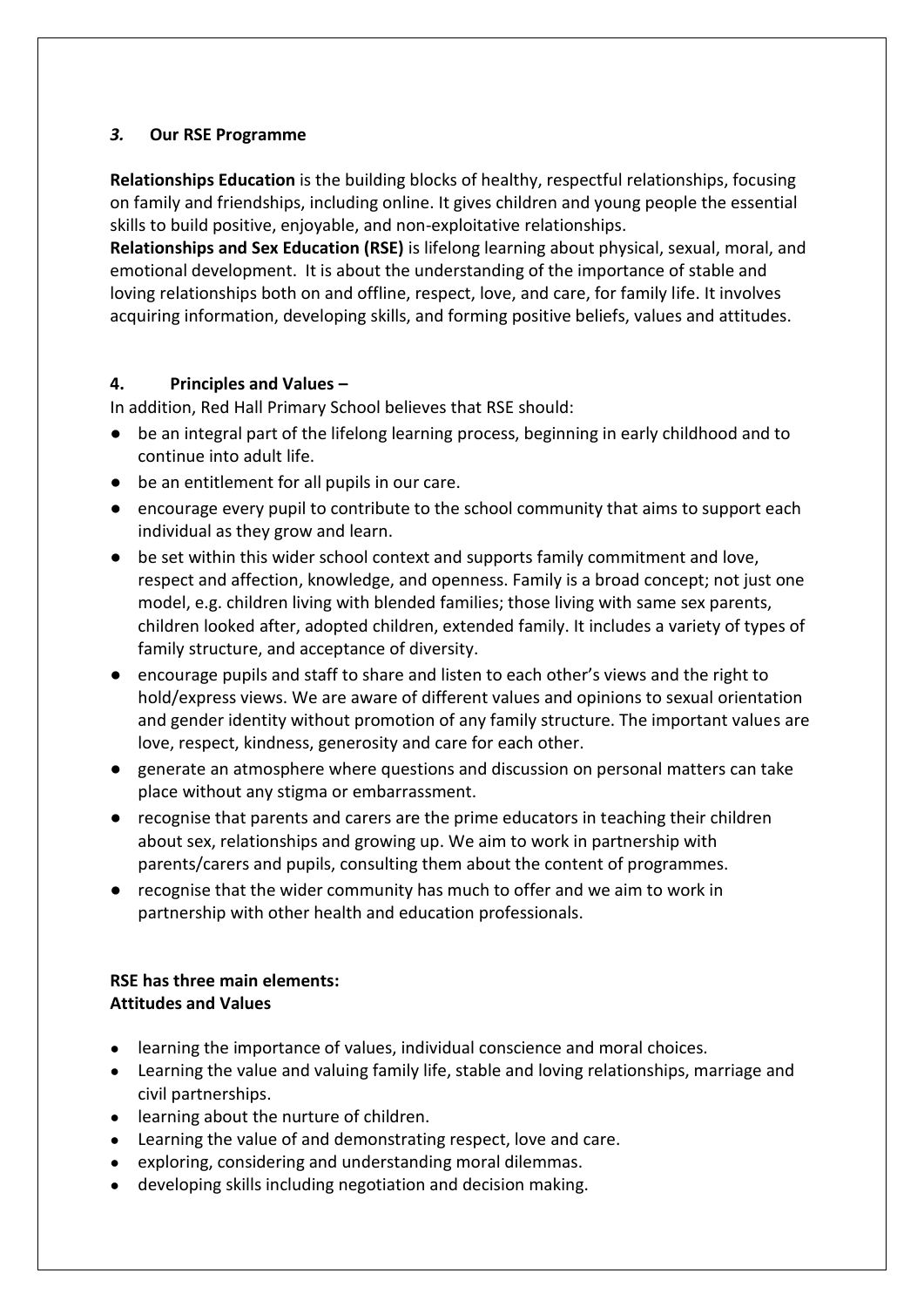# *3.* **Our RSE Programme**

**Relationships Education** is the building blocks of healthy, respectful relationships, focusing on family and friendships, including online. It gives children and young people the essential skills to build positive, enjoyable, and non-exploitative relationships.

**Relationships and Sex Education (RSE)** is lifelong learning about physical, sexual, moral, and emotional development. It is about the understanding of the importance of stable and loving relationships both on and offline, respect, love, and care, for family life. It involves acquiring information, developing skills, and forming positive beliefs, values and attitudes.

## **4. Principles and Values –**

In addition, Red Hall Primary School believes that RSE should:

- be an integral part of the lifelong learning process, beginning in early childhood and to continue into adult life.
- be an entitlement for all pupils in our care.
- encourage every pupil to contribute to the school community that aims to support each individual as they grow and learn.
- be set within this wider school context and supports family commitment and love, respect and affection, knowledge, and openness. Family is a broad concept; not just one model, e.g. children living with blended families; those living with same sex parents, children looked after, adopted children, extended family. It includes a variety of types of family structure, and acceptance of diversity.
- encourage pupils and staff to share and listen to each other's views and the right to hold/express views. We are aware of different values and opinions to sexual orientation and gender identity without promotion of any family structure. The important values are love, respect, kindness, generosity and care for each other.
- generate an atmosphere where questions and discussion on personal matters can take place without any stigma or embarrassment.
- recognise that parents and carers are the prime educators in teaching their children about sex, relationships and growing up. We aim to work in partnership with parents/carers and pupils, consulting them about the content of programmes.
- recognise that the wider community has much to offer and we aim to work in partnership with other health and education professionals.

## **RSE has three main elements: Attitudes and Values**

- learning the importance of values, individual conscience and moral choices.
- Learning the value and valuing family life, stable and loving relationships, marriage and civil partnerships.
- learning about the nurture of children.
- Learning the value of and demonstrating respect, love and care.
- exploring, considering and understanding moral dilemmas.
- developing skills including negotiation and decision making.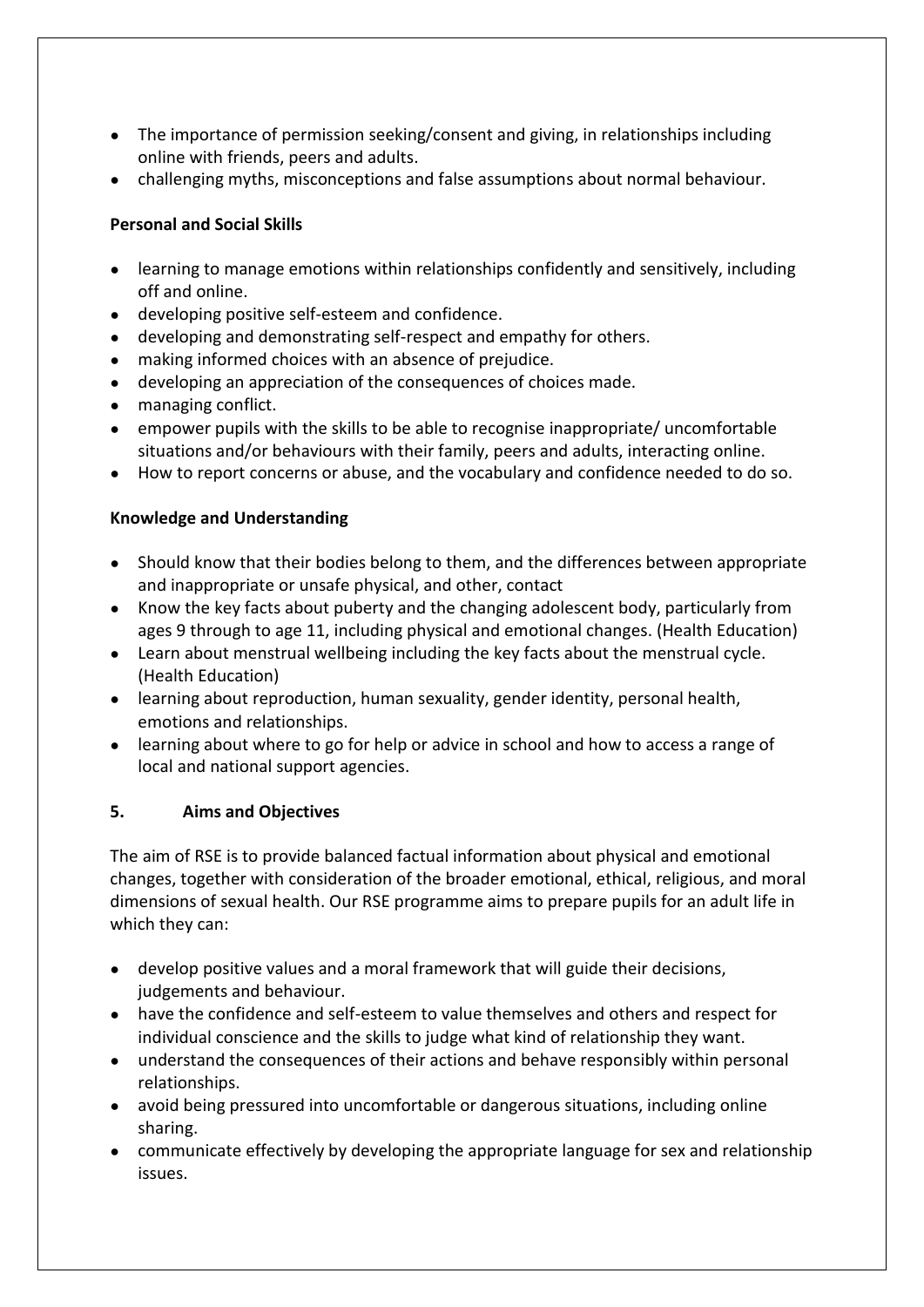- The importance of permission seeking/consent and giving, in relationships including online with friends, peers and adults.
- challenging myths, misconceptions and false assumptions about normal behaviour.

# **Personal and Social Skills**

- learning to manage emotions within relationships confidently and sensitively, including off and online.
- developing positive self-esteem and confidence.
- developing and demonstrating self-respect and empathy for others.
- making informed choices with an absence of prejudice.
- developing an appreciation of the consequences of choices made.
- managing conflict.
- empower pupils with the skills to be able to recognise inappropriate/ uncomfortable situations and/or behaviours with their family, peers and adults, interacting online.
- How to report concerns or abuse, and the vocabulary and confidence needed to do so.

# **Knowledge and Understanding**

- Should know that their bodies belong to them, and the differences between appropriate and inappropriate or unsafe physical, and other, contact
- Know the key facts about puberty and the changing adolescent body, particularly from ages 9 through to age 11, including physical and emotional changes. (Health Education)
- Learn about menstrual wellbeing including the key facts about the menstrual cycle. (Health Education)
- learning about reproduction, human sexuality, gender identity, personal health, emotions and relationships.
- learning about where to go for help or advice in school and how to access a range of local and national support agencies.

## **5. Aims and Objectives**

The aim of RSE is to provide balanced factual information about physical and emotional changes, together with consideration of the broader emotional, ethical, religious, and moral dimensions of sexual health. Our RSE programme aims to prepare pupils for an adult life in which they can:

- develop positive values and a moral framework that will guide their decisions, judgements and behaviour.
- have the confidence and self-esteem to value themselves and others and respect for individual conscience and the skills to judge what kind of relationship they want.
- understand the consequences of their actions and behave responsibly within personal relationships.
- avoid being pressured into uncomfortable or dangerous situations, including online sharing.
- communicate effectively by developing the appropriate language for sex and relationship issues.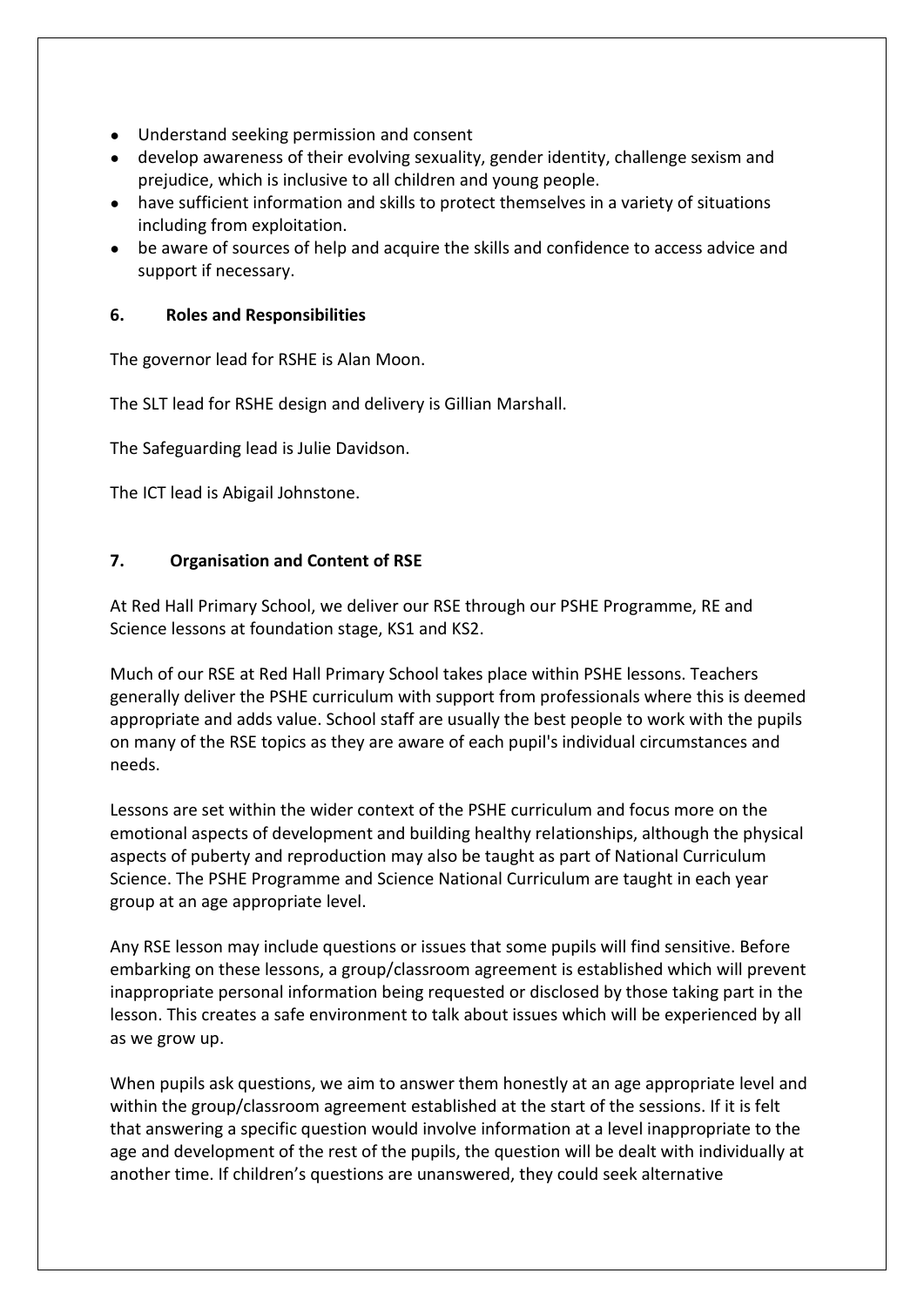- Understand seeking permission and consent
- develop awareness of their evolving sexuality, gender identity, challenge sexism and prejudice, which is inclusive to all children and young people.
- have sufficient information and skills to protect themselves in a variety of situations including from exploitation.
- be aware of sources of help and acquire the skills and confidence to access advice and support if necessary.

## **6. Roles and Responsibilities**

The governor lead for RSHE is Alan Moon.

The SLT lead for RSHE design and delivery is Gillian Marshall.

The Safeguarding lead is Julie Davidson.

The ICT lead is Abigail Johnstone.

## **7. Organisation and Content of RSE**

At Red Hall Primary School, we deliver our RSE through our PSHE Programme, RE and Science lessons at foundation stage, KS1 and KS2.

Much of our RSE at Red Hall Primary School takes place within PSHE lessons. Teachers generally deliver the PSHE curriculum with support from professionals where this is deemed appropriate and adds value. School staff are usually the best people to work with the pupils on many of the RSE topics as they are aware of each pupil's individual circumstances and needs.

Lessons are set within the wider context of the PSHE curriculum and focus more on the emotional aspects of development and building healthy relationships, although the physical aspects of puberty and reproduction may also be taught as part of National Curriculum Science. The PSHE Programme and Science National Curriculum are taught in each year group at an age appropriate level.

Any RSE lesson may include questions or issues that some pupils will find sensitive. Before embarking on these lessons, a group/classroom agreement is established which will prevent inappropriate personal information being requested or disclosed by those taking part in the lesson. This creates a safe environment to talk about issues which will be experienced by all as we grow up.

When pupils ask questions, we aim to answer them honestly at an age appropriate level and within the group/classroom agreement established at the start of the sessions. If it is felt that answering a specific question would involve information at a level inappropriate to the age and development of the rest of the pupils, the question will be dealt with individually at another time. If children's questions are unanswered, they could seek alternative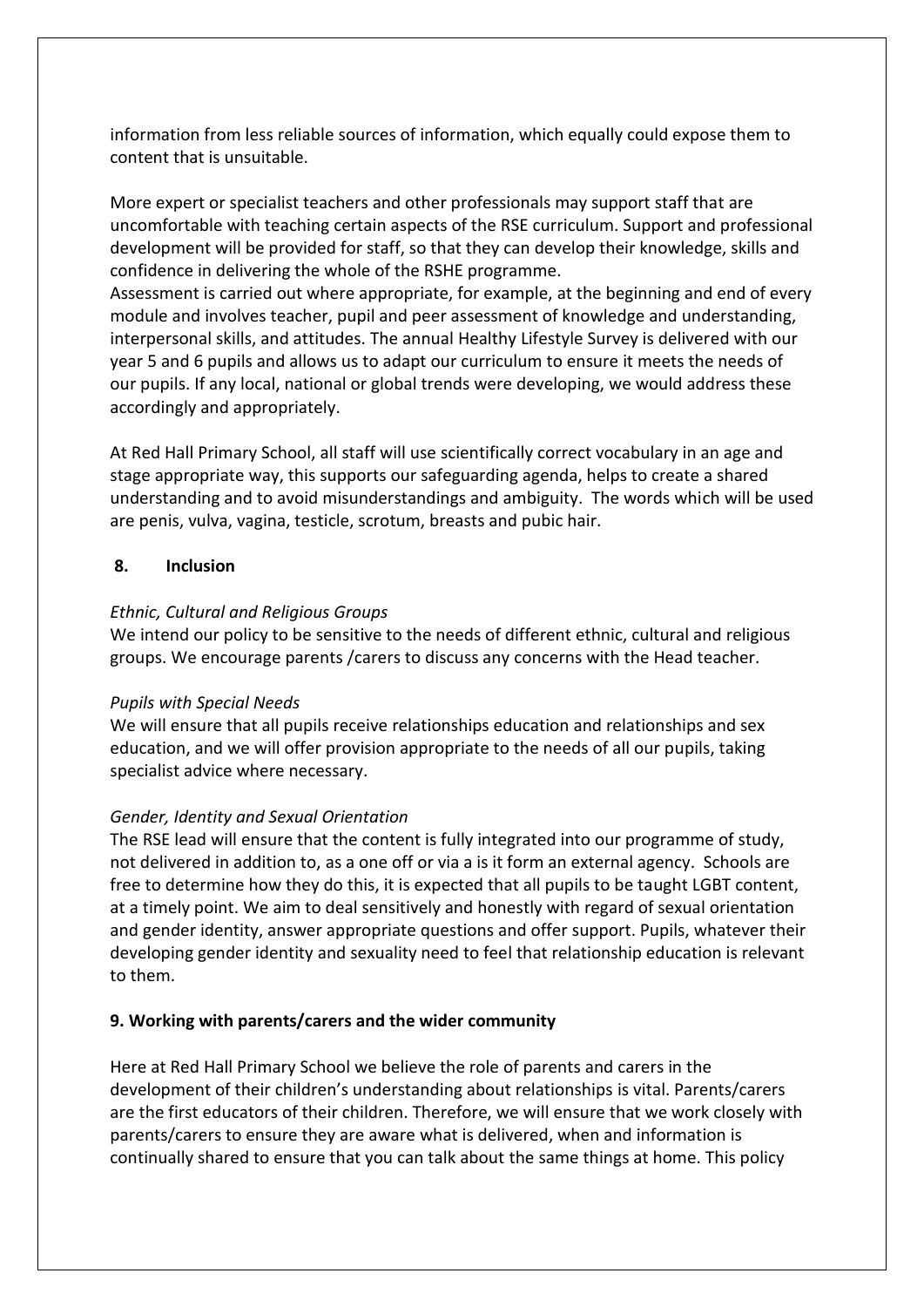information from less reliable sources of information, which equally could expose them to content that is unsuitable.

More expert or specialist teachers and other professionals may support staff that are uncomfortable with teaching certain aspects of the RSE curriculum. Support and professional development will be provided for staff, so that they can develop their knowledge, skills and confidence in delivering the whole of the RSHE programme.

Assessment is carried out where appropriate, for example, at the beginning and end of every module and involves teacher, pupil and peer assessment of knowledge and understanding, interpersonal skills, and attitudes. The annual Healthy Lifestyle Survey is delivered with our year 5 and 6 pupils and allows us to adapt our curriculum to ensure it meets the needs of our pupils. If any local, national or global trends were developing, we would address these accordingly and appropriately.

At Red Hall Primary School, all staff will use scientifically correct vocabulary in an age and stage appropriate way, this supports our safeguarding agenda, helps to create a shared understanding and to avoid misunderstandings and ambiguity. The words which will be used are penis, vulva, vagina, testicle, scrotum, breasts and pubic hair.

#### **8. Inclusion**

#### *Ethnic, Cultural and Religious Groups*

We intend our policy to be sensitive to the needs of different ethnic, cultural and religious groups. We encourage parents /carers to discuss any concerns with the Head teacher.

#### *Pupils with Special Needs*

We will ensure that all pupils receive relationships education and relationships and sex education, and we will offer provision appropriate to the needs of all our pupils, taking specialist advice where necessary.

#### *Gender, Identity and Sexual Orientation*

The RSE lead will ensure that the content is fully integrated into our programme of study, not delivered in addition to, as a one off or via a is it form an external agency. Schools are free to determine how they do this, it is expected that all pupils to be taught LGBT content, at a timely point. We aim to deal sensitively and honestly with regard of sexual orientation and gender identity, answer appropriate questions and offer support. Pupils, whatever their developing gender identity and sexuality need to feel that relationship education is relevant to them.

## **9. Working with parents/carers and the wider community**

Here at Red Hall Primary School we believe the role of parents and carers in the development of their children's understanding about relationships is vital. Parents/carers are the first educators of their children. Therefore, we will ensure that we work closely with parents/carers to ensure they are aware what is delivered, when and information is continually shared to ensure that you can talk about the same things at home. This policy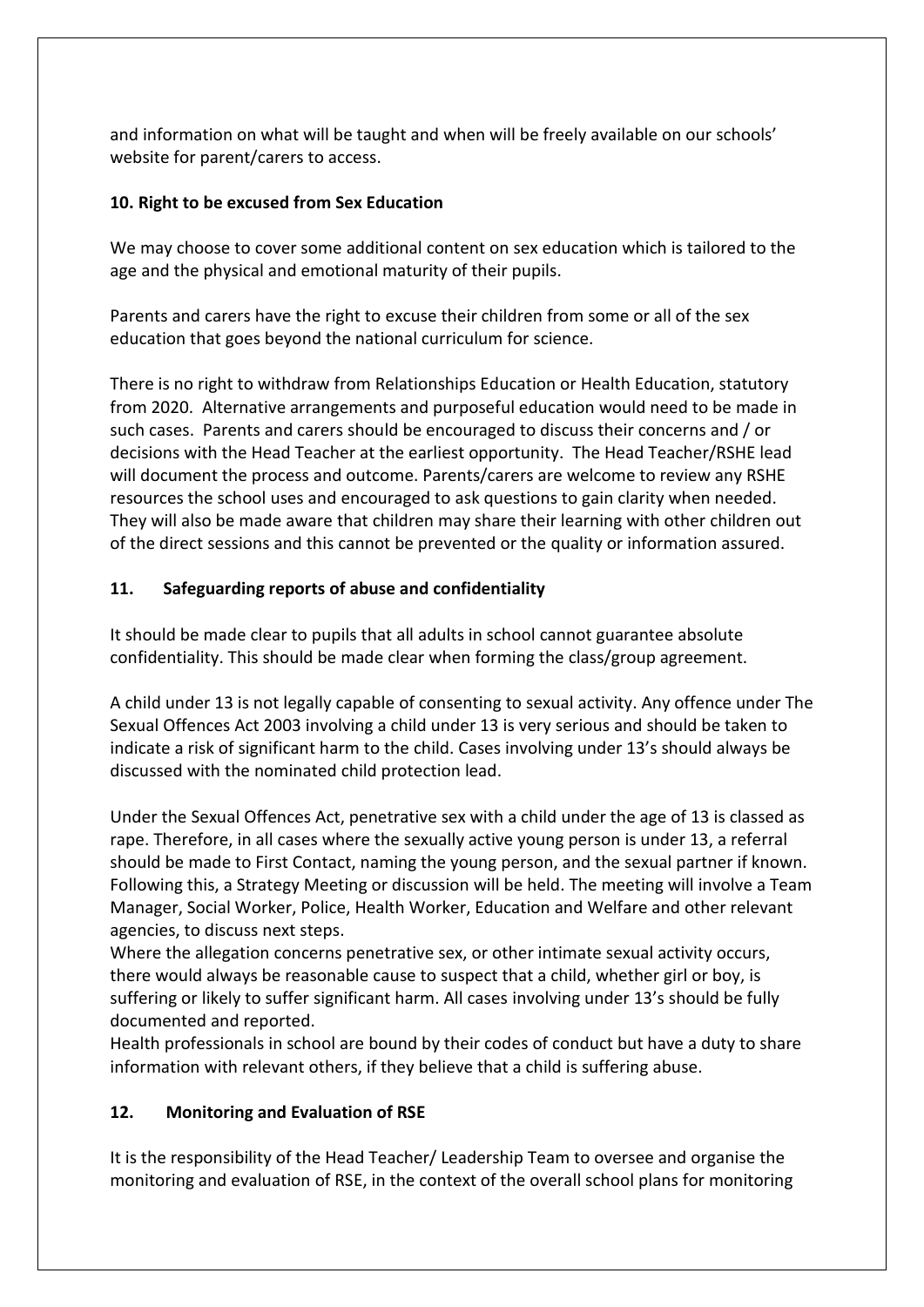and information on what will be taught and when will be freely available on our schools' website for parent/carers to access.

#### **10. Right to be excused from Sex Education**

We may choose to cover some additional content on sex education which is tailored to the age and the physical and emotional maturity of their pupils.

Parents and carers have the right to excuse their children from some or all of the sex education that goes beyond the national curriculum for science.

There is no right to withdraw from Relationships Education or Health Education, statutory from 2020. Alternative arrangements and purposeful education would need to be made in such cases. Parents and carers should be encouraged to discuss their concerns and / or decisions with the Head Teacher at the earliest opportunity. The Head Teacher/RSHE lead will document the process and outcome. Parents/carers are welcome to review any RSHE resources the school uses and encouraged to ask questions to gain clarity when needed. They will also be made aware that children may share their learning with other children out of the direct sessions and this cannot be prevented or the quality or information assured.

## **11. Safeguarding reports of abuse and confidentiality**

It should be made clear to pupils that all adults in school cannot guarantee absolute confidentiality. This should be made clear when forming the class/group agreement.

A child under 13 is not legally capable of consenting to sexual activity. Any offence under The Sexual Offences Act 2003 involving a child under 13 is very serious and should be taken to indicate a risk of significant harm to the child. Cases involving under 13's should always be discussed with the nominated child protection lead.

Under the Sexual Offences Act, penetrative sex with a child under the age of 13 is classed as rape. Therefore, in all cases where the sexually active young person is under 13, a referral should be made to First Contact, naming the young person, and the sexual partner if known. Following this, a Strategy Meeting or discussion will be held. The meeting will involve a Team Manager, Social Worker, Police, Health Worker, Education and Welfare and other relevant agencies, to discuss next steps.

Where the allegation concerns penetrative sex, or other intimate sexual activity occurs, there would always be reasonable cause to suspect that a child, whether girl or boy, is suffering or likely to suffer significant harm. All cases involving under 13's should be fully documented and reported.

Health professionals in school are bound by their codes of conduct but have a duty to share information with relevant others, if they believe that a child is suffering abuse.

## **12. Monitoring and Evaluation of RSE**

It is the responsibility of the Head Teacher/ Leadership Team to oversee and organise the monitoring and evaluation of RSE, in the context of the overall school plans for monitoring